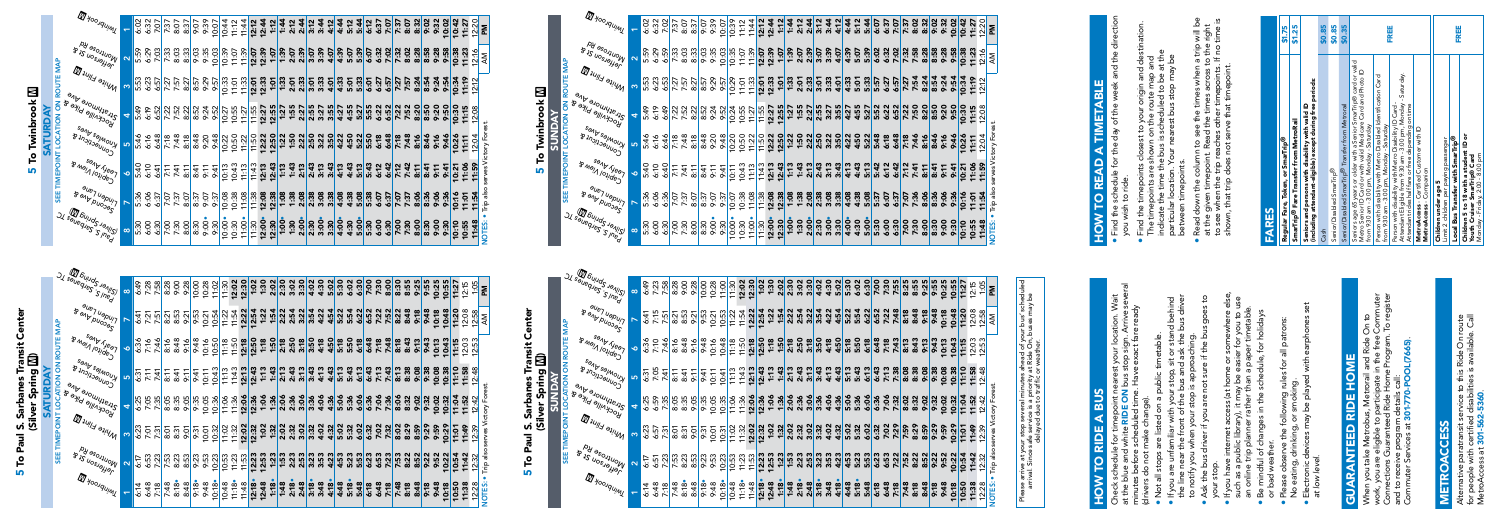|                      | $\text{Mod}_{S_{\mathcal{A}_{\mathcal{C}_{\mathcal{C}}}}}(\mathbb{Z})$<br><b>JI</b> sauegies sineg | $\infty$     | 6:49           | 7:28           | 7:58             | 8:28                  | 9:00         | 9:28              | 10:00 | 10:28 | 11:02                            | 11:30                            | 12:02 | 12:30 | 1:02  | 1:30  | 2:02 | 2:30 | 3:02 | 3:30 | 4:02 | 4:30 | 5:02 | 5:30 | 6:02 | 6:30 | 7:00 | 7:30 | 8:00 | 8:30 | 8:55 | 9:25 | 9:55 | 10:25     | 10:55                            | 11:27     | 2:15                           | 1:05                 | ᅙ                     |
|----------------------|----------------------------------------------------------------------------------------------------|--------------|----------------|----------------|------------------|-----------------------|--------------|-------------------|-------|-------|----------------------------------|----------------------------------|-------|-------|-------|-------|------|------|------|------|------|------|------|------|------|------|------|------|------|------|------|------|------|-----------|----------------------------------|-----------|--------------------------------|----------------------|-----------------------|
|                      | a <sub>UPT Uapury</sub><br>BOUD ALON                                                               | $\breve{}$   |                | 6:41<br>7:21   | 7:51             | 8:21                  | 8:53         | 9:21              | 9:53  | 10:21 | 10:54                            | 11:22                            | 11:54 | 12:22 | 12:54 | 1:22  | 1:54 | 2:22 | 2:54 | 3:22 | 3:54 | 4:22 | 4:54 | 5:22 | 5:54 | 6:22 | 6:52 | 7:22 | 7:52 | 8:22 | 8:48 | 9:18 | 9:48 | 10:18     | 10:48                            | 11:20     | 12:08                          | 2:58                 | Μ                     |
| <b>DIN ROUIE MA</b>  | sant feat<br>B May 1011de3.                                                                        | $\bullet$    | 6:36           | 7:16           | 7:46             | 8:16                  | 8:48         | 9:16              | 9:48  | 10:16 | 10:50                            | 11:18                            | 11:50 | 12:18 | 12:50 | 1:18  | 1:50 | 2:18 | 2:50 | 3:18 | 3:50 | 4:18 | 4:50 | 5:18 | 5:50 | 6:18 | 6:48 | 7:18 | 7:48 | 8:18 | 8:43 | 9:13 | 9:43 | ო<br>10:1 | 10:4                             | w<br>11:1 | ო ო<br>12.0                    | 2.5                  |                       |
| $\frac{2}{5}$        | SOND SOMOUY<br>B <sub>2/12/29</sub> UVS                                                            | LO.          | 6:31           | 7:11           | 7:41             | 8:11                  | 8:41         | 9:11              | 9:41  | 10:11 | 10:43                            | 11:13                            | 11:43 | 12:13 | 12:43 | 1:13  | 1:43 | 2:13 | 2:43 | 3:13 | 3:43 | 4:13 | 4:43 | 5:13 | 5:43 | 6:13 | 6:43 | 7:13 | 7:43 | 8:13 | 8:38 | 90:9 | 9:38 | 10:08     | 10:38                            | 11:10     | 11:58                          | $\ddot{a}$<br>$\sim$ |                       |
|                      | <b>PILATION PROPRING</b><br>Jockwille Pike & 2                                                     | 4            |                | $6:35$<br>7.55 |                  | Ğ.<br>$\infty$        | 8:35<br>9:05 |                   | 9:35  | 10:05 | 10:36                            | 11:06                            | 11:36 | 12:06 | 12:36 | 1:06  | 1:36 | 2:06 | 2:36 | 3:06 | 3:36 | 4:06 | 4:36 | 5:06 | 5:36 | 6:06 | 6:36 | 7:06 | 7:36 | 8:06 | 8:32 | 9:02 | 9:32 | 10:02     | 10:32                            | 11:04     | $\ddot{5}$<br>$\bullet$<br>÷   | 12:42                | serves Victory Forest |
| <b>SEE IIMEPOINI</b> | $\pi_{\mu\mu\mu}$ and $\pi_{\mu\nu}$                                                               | က            | 6:23           | 7:01           | 7:31             | 8:5                   | 8:31         | 9:01              | 9:31  | 10:01 | 10:32                            | 1:02<br>$\overline{\phantom{0}}$ | 11:32 | 12:02 | 12:32 | 1:02  | 1:32 | 2:02 | 2:32 | 3:02 | 3:32 | 4:02 | 4:32 | 5:02 | 5:32 | 6:02 | 6:32 | 7:02 | 7:32 | 8:02 | 8:29 | 8:59 | 9:29 | 9:59      | 0:29<br>÷                        | 1:01      | ë.<br>$\overline{\phantom{0}}$ | 2:39                 |                       |
|                      | Py aso <sub>Nivo</sub> w<br>$8'$ 15 UOSJayJay                                                      | $\mathbf{N}$ | $\overline{6}$ |                | $6:53$<br>$7:23$ | ო<br>$\overline{7.5}$ | 8:23         | 8:53              | 9:23  | 9:53  | 10:23                            | 10:53                            | 11:23 | 11:53 | 12:23 | 12:53 | 1:23 | 1:53 | 2:23 | 2:53 | 3:23 | 3:53 | 4:23 | 4:53 | 5:23 | 5:53 | 6:23 | 6:53 | 7:23 | 7:53 | 8:22 | 8:52 | 9:22 | 9:52      | 10:22                            | 10:54     | :42<br>$\frac{1}{\sqrt{2}}$    | $\sim$<br>2.3        | also<br>Trip          |
|                      | Myoorquimy                                                                                         |              | 6:14           |                | $6:48$<br>$7:18$ | 7:48                  | 8:18         | $rac{8:48}{9:18}$ |       | 9:48  | 0:18<br>$\overline{\phantom{0}}$ | 10:48                            | 11:18 | 11:48 | 12:18 | 12:48 | 1:18 | 1:48 | 2:18 | 2:48 | 3:18 | 3:48 | 4:18 | 4:48 | 5:18 | 5:48 | 6:18 | 6:48 | 7:18 | 7:48 | 8:18 | 8:48 | 9:18 | 9:48      | 0:18<br>$\overline{\phantom{0}}$ | 0:50      | 11:38                          | 12:28                | <b>OTES:</b>          |

| chte.<br>ran;<br>sarbanes<br>Ξ<br><b>Cayli</b><br>Ĩ.<br><u>ທ່</u><br><b>Dau</b><br>τ |
|--------------------------------------------------------------------------------------|
|--------------------------------------------------------------------------------------|

SATURDAY

5 To Paul S. Sarbanes Transit Center nte ပီ **I S. Sarbanes Transit (**<br>(Silver Spring **M)**<br>SUNDAY (Silver Spring m) SUNDAY To Paul **LO** 

SATURDAY

|                        | Myoorquint                                                       |                      |      |                                                                                                                         |      |                                                             |               |      |       |       |       |       |       |                       |      |      |      |      |      |      |      |      |                        |      |      |                             |      |      |      |      |      |      |       |       |       |                                                                                                                                                                                                                                                                                                                                                                                                                                                                                                         |       |                            |
|------------------------|------------------------------------------------------------------|----------------------|------|-------------------------------------------------------------------------------------------------------------------------|------|-------------------------------------------------------------|---------------|------|-------|-------|-------|-------|-------|-----------------------|------|------|------|------|------|------|------|------|------------------------|------|------|-----------------------------|------|------|------|------|------|------|-------|-------|-------|---------------------------------------------------------------------------------------------------------------------------------------------------------------------------------------------------------------------------------------------------------------------------------------------------------------------------------------------------------------------------------------------------------------------------------------------------------------------------------------------------------|-------|----------------------------|
|                        | B 1S UOSJ BLOW                                                   | $\boldsymbol{\sim}$  |      |                                                                                                                         |      |                                                             |               |      |       |       |       |       |       |                       |      |      |      |      |      |      |      |      |                        |      |      |                             |      |      |      |      |      |      |       |       |       | $\begin{array}{l} \mathbb{S}_{11} \otimes \mathbb{S}_{21} \otimes \mathbb{S}_{31} \otimes \mathbb{S}_{41} \otimes \mathbb{S}_{52} \otimes \mathbb{S}_{53} \otimes \mathbb{S}_{64} \otimes \mathbb{S}_{64} \otimes \mathbb{S}_{64} \otimes \mathbb{S}_{64} \otimes \mathbb{S}_{64} \otimes \mathbb{S}_{64} \otimes \mathbb{S}_{64} \otimes \mathbb{S}_{64} \otimes \mathbb{S}_{64} \otimes \mathbb{S}_{64} \otimes \mathbb{S}_{64} \otimes \mathbb{S}_{64}$                                              |       |                            |
| ON ROUTE MAP           | White Flint                                                      |                      |      |                                                                                                                         |      |                                                             |               |      |       |       |       |       |       |                       |      |      |      |      |      |      |      |      |                        |      |      |                             |      |      |      |      |      |      |       |       |       |                                                                                                                                                                                                                                                                                                                                                                                                                                                                                                         |       |                            |
|                        | <b>PHARMORALS</b><br>s a billing bike &                          | $\blacktriangleleft$ |      |                                                                                                                         |      |                                                             |               |      |       |       |       |       |       |                       |      |      |      |      |      |      |      |      |                        |      |      |                             |      |      |      |      |      |      |       |       |       |                                                                                                                                                                                                                                                                                                                                                                                                                                                                                                         |       |                            |
|                        | sand salmony<br>$8 \nu_{10} \nu_{2} \nu_{3} \nu_{4} \nu_{5}$     | LO.                  |      |                                                                                                                         |      |                                                             |               |      |       |       |       |       |       |                       |      |      |      |      |      |      |      |      |                        |      |      |                             |      |      |      |      |      |      |       |       |       |                                                                                                                                                                                                                                                                                                                                                                                                                                                                                                         |       |                            |
| SEE TIMEPOINT LOCATION | sand year<br>B Majn I loved                                      | $\bullet$            |      |                                                                                                                         |      |                                                             |               |      |       |       |       |       |       |                       |      |      |      |      |      |      |      |      |                        |      |      |                             |      |      |      |      |      |      |       |       |       |                                                                                                                                                                                                                                                                                                                                                                                                                                                                                                         | 1:55  | erves Victory For          |
|                        | aue7 uapur7<br>B end puoses                                      |                      |      |                                                                                                                         |      |                                                             |               |      |       |       |       |       |       |                       |      |      |      |      |      |      |      |      |                        |      |      |                             |      |      |      |      |      |      |       |       |       |                                                                                                                                                                                                                                                                                                                                                                                                                                                                                                         |       |                            |
|                        | <b>SL SauequeS Janus)</b>                                        | $\infty$             |      |                                                                                                                         |      |                                                             |               |      |       |       |       |       |       |                       |      |      |      |      |      |      |      |      |                        |      |      |                             |      |      |      |      |      |      |       |       |       | $\left(\frac{3}{2},\frac{3}{2}\right)\times\left(\frac{3}{2},\frac{3}{2}\right)\times\left(\frac{3}{2},\frac{3}{2}\right)\times\left(\frac{3}{2},\frac{3}{2}\right)\times\left(\frac{3}{2},\frac{3}{2}\right)\times\left(\frac{3}{2},\frac{3}{2}\right)\times\left(\frac{3}{2},\frac{3}{2}\right)\times\left(\frac{3}{2},\frac{3}{2}\right)\times\left(\frac{3}{2},\frac{3}{2}\right)\times\left(\frac{3}{2},\frac{3}{2}\right)\times\left(\frac{3}{2},\frac{3}{2}\right)\times\left(\frac{3}{2},\frac$ |       |                            |
|                        |                                                                  |                      |      |                                                                                                                         |      |                                                             |               |      |       |       |       |       |       |                       |      |      |      |      |      |      |      |      |                        |      |      |                             |      |      |      |      |      |      |       |       |       |                                                                                                                                                                                                                                                                                                                                                                                                                                                                                                         |       |                            |
|                        |                                                                  |                      |      |                                                                                                                         |      |                                                             |               |      |       |       |       |       |       |                       |      |      |      |      |      |      |      |      |                        |      |      |                             |      |      |      |      |      |      |       |       |       |                                                                                                                                                                                                                                                                                                                                                                                                                                                                                                         |       |                            |
|                        |                                                                  | $\infty$             |      |                                                                                                                         |      |                                                             |               |      |       |       |       |       |       |                       |      |      |      |      |      |      |      |      |                        |      |      |                             |      |      |      |      |      |      |       |       |       |                                                                                                                                                                                                                                                                                                                                                                                                                                                                                                         |       |                            |
|                        | <b>SL SauequeS Janus)</b><br>au <sub>lg</sub> u T <sup>aug</sup> |                      |      |                                                                                                                         |      |                                                             |               |      |       |       |       |       |       |                       |      |      |      |      |      |      |      |      |                        |      |      |                             |      |      |      |      |      |      |       |       |       |                                                                                                                                                                                                                                                                                                                                                                                                                                                                                                         |       |                            |
|                        | <b>BOULDUOSS</b><br>sand year                                    | $\bullet$            |      | $rac{6}{6}$<br>$rac{36}{7}$<br>$rac{46}{7}$<br>$rac{6}{7}$<br>$rac{36}{7}$<br>$rac{6}{7}$<br>$rac{6}{7}$<br>$rac{6}{7}$ |      |                                                             |               |      |       |       |       |       |       |                       |      |      |      |      |      |      |      |      |                        |      |      |                             |      |      |      |      |      |      |       |       |       |                                                                                                                                                                                                                                                                                                                                                                                                                                                                                                         |       |                            |
| ON ROUTE MAP           | B <sub>Niol/Olidey</sub><br>SOND SOIMOUY                         | LO.                  |      |                                                                                                                         |      |                                                             |               |      |       |       |       |       |       |                       |      |      |      |      |      |      |      |      |                        |      |      |                             |      |      |      |      |      |      |       |       |       |                                                                                                                                                                                                                                                                                                                                                                                                                                                                                                         |       |                            |
| <b>AIION</b>           | S <sub>annecticut</sub><br>Station of Deal                       | 4                    | 6:25 | 7:05                                                                                                                    | 7:35 | $rac{6}{6}$ $rac{6}{6}$ $rac{6}{6}$ $rac{6}{6}$ $rac{6}{6}$ |               |      | 10:05 | 10:36 | 11:06 | 11:36 |       | <u>12:06</u><br>12:36 |      | 1:36 |      |      |      |      | 4:06 |      | $4:36$<br>5:36<br>5:36 |      | 6:06 | <b>8556</b><br>8556<br>8756 |      |      | 8:06 | 8:32 | 9:02 | 9:32 | 10:02 | 10:32 | 11:04 | <b>11:52</b><br>12:42                                                                                                                                                                                                                                                                                                                                                                                                                                                                                   |       |                            |
| SEE TIMEPOINT LOC.     | <b>POCKVIIIe Pike</b><br>I Hill Blint<br><b>PH</b> aso Huola     | က                    | 6:23 | 7:01                                                                                                                    | 7:31 | 8:31<br>8:31                                                | $\frac{5}{2}$ | 9:31 | 10:01 | 10:32 | 11:02 | 11:32 | 12:02 | 12:32                 | 1:02 | 1:32 | 2:02 | 2:32 | 3:02 | 3:32 | 4:02 | 4:32 | 5:02                   | 5:32 | 6:02 | 6:32                        | 7:02 | 7:32 | 8:02 | 8:29 | 8:59 | 9:29 | 9:59  | 10:29 | 11:01 | 11:49                                                                                                                                                                                                                                                                                                                                                                                                                                                                                                   | 12:39 | serves Victory For<br>also |

## To Twinbrook **M**<br>SUNDAY **5 To Twinbrook M In**

SUNDAY

|                | SI soupoulus Sulla<br>Silver 2 Sarbanes<br>Sant 2 Sundan | $\infty$                |                    | 6:49<br>7:23                  | 7:58 |                                                                                      | 8:28<br>9:00 | 9:28 | 10:00                                                                                           |                               | $10:28$<br>$11:00$ | 11:30                 | 12:02                   | 12:30 |
|----------------|----------------------------------------------------------|-------------------------|--------------------|-------------------------------|------|--------------------------------------------------------------------------------------|--------------|------|-------------------------------------------------------------------------------------------------|-------------------------------|--------------------|-----------------------|-------------------------|-------|
| ≹              | aue <sub>7 Uapur</sub><br>B end puoss'                   |                         |                    | $rac{2}{25}$<br>$rac{25}{25}$ |      |                                                                                      |              |      | ន: ប៊ូ ប៉ូ ប៉ូ ប៉ូ ប៉ូ <mark>ប៉ូ</mark><br>ខ្លួន: ប៉ូ ប៉ូ ប៉ូ ប៉ូ ប៉ូ<br>ខ្លួន: ប៉ូ ប៉ូ ប៉ូ ប៉ូ |                               |                    | 11:22                 | 11:54                   | 12:22 |
|                | sand Treat<br>B <sub>NOI/OI/deJ</sub>                    | $\bullet$               |                    | 6:36<br>7:10<br>7:46          |      |                                                                                      |              |      | 8:48<br>8:48<br>8:48<br>8:48<br>9:48                                                            |                               |                    |                       | $11:18$<br>$11:50$      | 12:18 |
| AIIUN ON ROUIE | s <sub>and salmony</sub><br>S <sub>ONNOCTICUL</sub> &    | ΩÚ,                     | $6.567$<br>$2.567$ |                               |      |                                                                                      |              |      | <u>.</u><br>음료 리스 드 <u>리</u><br>음료 리스 드 윈                                                       |                               |                    | $\frac{11:13}{11:43}$ |                         |       |
|                | and evolulysing<br>Jockville Pike &                      | 钱                       |                    |                               |      | $35.56$<br>$35.56$<br>$35.56$<br>$35.56$<br>$35.56$<br>$35.56$<br>$35.56$<br>$35.56$ |              |      |                                                                                                 |                               |                    |                       | 11:36                   | 12:06 |
|                | Mite Flint                                               | ო                       |                    | $rac{25}{35}$                 |      |                                                                                      |              |      |                                                                                                 |                               |                    |                       |                         |       |
| 쁬              | Montrose Rd<br>BIS VOSIBHBS                              | $\overline{\mathbf{c}}$ |                    | 6:57<br>6:57<br>7:23          |      |                                                                                      | 7.338        |      |                                                                                                 | 9:53<br>9:53<br><u>10:2</u> 3 |                    |                       | 10:53<br>11:53<br>11:53 |       |
|                | <b>ID</b> <i>Yoo Aquint</i>                              |                         |                    |                               |      |                                                                                      |              |      |                                                                                                 |                               |                    | 10:48                 | 11:18                   | 11:48 |

|                    | <b>III</b> Yoo Aquint                                                                                |                         |                                                                                                                                                                                                                                                                                                                                                                                 |  | $\frac{1}{3}$<br>$\frac{1}{3}$<br>$\frac{1}{3}$<br>$\frac{1}{3}$<br>$\frac{1}{3}$<br>$\frac{1}{3}$<br>$\frac{1}{3}$<br>$\frac{1}{3}$<br>$\frac{1}{3}$<br>$\frac{1}{3}$<br>$\frac{1}{3}$<br>$\frac{1}{3}$<br>$\frac{1}{3}$<br>$\frac{1}{3}$<br>$\frac{1}{3}$<br>$\frac{1}{3}$<br>$\frac{1}{3}$<br>$\frac{1}{3}$<br>$\frac{1}{3}$<br>$\frac{1}{3}$<br> |  |  |  |  |  |
|--------------------|------------------------------------------------------------------------------------------------------|-------------------------|---------------------------------------------------------------------------------------------------------------------------------------------------------------------------------------------------------------------------------------------------------------------------------------------------------------------------------------------------------------------------------|--|------------------------------------------------------------------------------------------------------------------------------------------------------------------------------------------------------------------------------------------------------------------------------------------------------------------------------------------------------|--|--|--|--|--|
| <b>MAP</b>         | A POLICING ROUTER                                                                                    | $\overline{\mathbf{v}}$ |                                                                                                                                                                                                                                                                                                                                                                                 |  | $\frac{35}{32}$<br>$\frac{35}{32}$<br>$\frac{35}{32}$<br>$\frac{35}{32}$<br>$\frac{35}{32}$<br>$\frac{35}{32}$<br>$\frac{35}{32}$<br>$\frac{35}{32}$<br>$\frac{35}{32}$<br>$\frac{35}{32}$<br>$\frac{35}{32}$<br>$\frac{35}{32}$<br>$\frac{35}{32}$                                                                                                  |  |  |  |  |  |
| <b>ROUTE</b>       | <b>MARE Flint</b>                                                                                    | ო                       |                                                                                                                                                                                                                                                                                                                                                                                 |  |                                                                                                                                                                                                                                                                                                                                                      |  |  |  |  |  |
| š                  | and <sub>Prathmore</sub> Are<br>yockville Pike &                                                     | 4                       |                                                                                                                                                                                                                                                                                                                                                                                 |  |                                                                                                                                                                                                                                                                                                                                                      |  |  |  |  |  |
| <b>LOCATION</b>    | s <sub>endes</sub> dres<br>B Injuseuuoj                                                              | ທ.                      |                                                                                                                                                                                                                                                                                                                                                                                 |  | $\frac{46}{56}$ $\frac{64}{56}$ $\frac{64}{56}$ $\frac{64}{56}$ $\frac{64}{56}$ $\frac{64}{56}$ $\frac{64}{56}$ $\frac{64}{56}$ $\frac{64}{56}$ $\frac{64}{56}$ $\frac{64}{56}$ $\frac{64}{56}$ $\frac{64}{56}$ $\frac{64}{56}$ $\frac{64}{56}$ $\frac{64}{56}$ $\frac{64}{56}$ $\frac{64}{56}$ $\frac{6$                                            |  |  |  |  |  |
| <b>TIMEPOINT</b>   | sand freat<br>B May 1/01/deJ                                                                         | $\bullet$               |                                                                                                                                                                                                                                                                                                                                                                                 |  |                                                                                                                                                                                                                                                                                                                                                      |  |  |  |  |  |
| <b>SEE</b>         | aue <sub>l</sub> Vapur<br>B end puoss'                                                               |                         |                                                                                                                                                                                                                                                                                                                                                                                 |  | $\frac{33}{6}$<br>$\frac{33}{6}$<br>$\frac{33}{6}$<br>$\frac{33}{6}$<br>$\frac{33}{6}$<br>$\frac{33}{6}$<br>$\frac{33}{6}$<br>$\frac{33}{6}$<br>$\frac{33}{6}$<br>$\frac{33}{6}$<br>$\frac{33}{6}$<br>$\frac{33}{6}$<br>$\frac{33}{6}$<br>$\frac{33}{6}$<br>$\frac{33}{6}$<br>$\frac{33}{6}$<br>$\frac{33}{6}$<br>$\frac{33}{6}$<br>$\frac{3$        |  |  |  |  |  |
|                    | is<br>JL SauegueS - Janus)<br>JL SauegueS - Janus)                                                   | $\infty$                |                                                                                                                                                                                                                                                                                                                                                                                 |  |                                                                                                                                                                                                                                                                                                                                                      |  |  |  |  |  |
|                    |                                                                                                      |                         |                                                                                                                                                                                                                                                                                                                                                                                 |  |                                                                                                                                                                                                                                                                                                                                                      |  |  |  |  |  |
|                    |                                                                                                      |                         |                                                                                                                                                                                                                                                                                                                                                                                 |  |                                                                                                                                                                                                                                                                                                                                                      |  |  |  |  |  |
|                    |                                                                                                      |                         |                                                                                                                                                                                                                                                                                                                                                                                 |  |                                                                                                                                                                                                                                                                                                                                                      |  |  |  |  |  |
|                    |                                                                                                      | $\infty$                |                                                                                                                                                                                                                                                                                                                                                                                 |  |                                                                                                                                                                                                                                                                                                                                                      |  |  |  |  |  |
|                    | SI Saueques Shipp<br>au <sub>ey Vapur</sub>                                                          |                         |                                                                                                                                                                                                                                                                                                                                                                                 |  | វី ដូ ដូ <mark>ដូ ដូ ដូ ងូ ងូ ងូ ងូ ងូ ងូ ងូ ងូ ងូ</mark><br>កូ ដូ ដូ ងូ ងូ ងូ ងូ ងូ ងូ ងូ ងូ <b>ងូ ងូ ងូ</b>                                                                                                                                                                                                                                        |  |  |  |  |  |
| <b>MAP</b>         | B end puoss'<br>sand freat                                                                           | o.                      |                                                                                                                                                                                                                                                                                                                                                                                 |  |                                                                                                                                                                                                                                                                                                                                                      |  |  |  |  |  |
| <b>ON ROUTE</b>    | B May 1/01/deJ<br>s <sub>endres</sub> dres                                                           | ເທ                      |                                                                                                                                                                                                                                                                                                                                                                                 |  |                                                                                                                                                                                                                                                                                                                                                      |  |  |  |  |  |
| NOLT               | B Indipodulos                                                                                        |                         | $\begin{array}{r} \begin{array}{c} \text{4} \\ \text{30.38} \\ \text{41.49} \\ \text{52.50} \\ \text{63.61} \\ \text{74.71} \\ \text{85.62} \\ \text{96.63} \\ \text{10.72} \\ \text{11.73} \\ \text{12.84} \\ \text{13.74} \\ \text{14.75} \\ \text{15.75} \\ \text{16.75} \\ \text{17.75} \\ \text{18.75} \\ \text{19.75} \\ \text{19.75} \\ \text{10.75} \\ \text{11.75} \\$ |  |                                                                                                                                                                                                                                                                                                                                                      |  |  |  |  |  |
| SEE TIMEPOINT LOCA | Jockville Pike &<br>Parathmore Are &<br>Pockville Pike &<br><b>MARE Flint</b><br><b>PH asolingle</b> | $\mathfrak{S}$          |                                                                                                                                                                                                                                                                                                                                                                                 |  |                                                                                                                                                                                                                                                                                                                                                      |  |  |  |  |  |

Connections Guaranteed Ride Home Program. To register work, you are eligible to participate in the free Commuter **GUARANTEED RIDE HOME**<br>When you take Metrobus, Metrorail and Ride On to<br>work, you are eligible to participate in the free Comm<br>Connections Guaranteed Ride Home Program. To reg When you take Metrobus, Metrorail and Ride On to Commuter Services at 301-770-POOL(7665). **OL(76** program details call:<br>vices at 301-770-PO and to receive program details call: receive<br>luter Ser  $\boldsymbol{\mathsf{S}}$  $\overline{\mathbf{C}}$ ္က ၁

at the blue and white RIDE ON bus stop sign. Arrive several Check schedule for timepoint nearest your location. Wait minutes before scheduled time. Have exact fare ready  $\Rightarrow$ rrive<br>read neck schedule for timepoint nearest your locatior<br>the blue and white **RIDE ON** bus stop sign. Arriv<br>inutes before scheduled time. Have exact fare re<br>rivers do not make change).<br>Not all stops are listed on a public timetabl (drivers do not make change).

| 1:30<br>2:02<br>4:30<br>4:30<br>5:02<br>3:02<br>3:30<br>5:30<br>5:30<br>6:30<br>10:55<br>2:30<br>9:55<br>10:25<br>11:27<br>1:05<br>12:15<br>ΣÑ<br>1:54<br>1:54<br>6:22<br>52<br>523<br>625<br>626<br>8:48<br>9:18<br>94:3<br>21 22 31 32 32<br>21 32 32 32 33 34<br>21 32 33 34<br>5:22<br>5:54<br>10:48<br>10:18<br>11:20<br>12:08<br>12:58<br>ΚŇ<br>ត្ត<br>ភូមិ នី ខូ នី ម៉ូ នី ដូ ម៉ូ នី ខូ នី នី នី នី ដូ នី ដូ នី នី នី<br>ដូ ដូ ម៉ូ នី ម៉ូ នី ម៉ូ នី ទី នី ដូ នី នី ដូ នី ទី នី នី<br>9:43<br>10:43<br>11:15<br>10:13<br>12:03<br>12:53<br>10:08<br>9:38<br>10:38<br><b>11:10<br/>11:58</b><br>12:48<br>Trip also serves Victory Forest<br>36<br>7:02<br>7:02<br>8:02<br>8:02<br>10:02<br>9:32<br>10:32<br><b>11:04</b><br>11:52<br>12:42<br>9:29<br>9:59<br>10:29<br>11:01<br>11:49<br>12:39<br>$\frac{12.53}{1.23}$<br>33<br>3332<br>3323<br>3323<br>332<br>9:22<br>10:22<br>9:52<br>10:54<br>11:42<br>12:32<br>9:18<br>9:48<br>10:50<br>11:38<br>NOTES:<br>10:18<br>12:28 |
|------------------------------------------------------------------------------------------------------------------------------------------------------------------------------------------------------------------------------------------------------------------------------------------------------------------------------------------------------------------------------------------------------------------------------------------------------------------------------------------------------------------------------------------------------------------------------------------------------------------------------------------------------------------------------------------------------------------------------------------------------------------------------------------------------------------------------------------------------------------------------------------------------------------------------------------------------------------------------------|
|                                                                                                                                                                                                                                                                                                                                                                                                                                                                                                                                                                                                                                                                                                                                                                                                                                                                                                                                                                                    |
|                                                                                                                                                                                                                                                                                                                                                                                                                                                                                                                                                                                                                                                                                                                                                                                                                                                                                                                                                                                    |
|                                                                                                                                                                                                                                                                                                                                                                                                                                                                                                                                                                                                                                                                                                                                                                                                                                                                                                                                                                                    |
|                                                                                                                                                                                                                                                                                                                                                                                                                                                                                                                                                                                                                                                                                                                                                                                                                                                                                                                                                                                    |
|                                                                                                                                                                                                                                                                                                                                                                                                                                                                                                                                                                                                                                                                                                                                                                                                                                                                                                                                                                                    |
|                                                                                                                                                                                                                                                                                                                                                                                                                                                                                                                                                                                                                                                                                                                                                                                                                                                                                                                                                                                    |
|                                                                                                                                                                                                                                                                                                                                                                                                                                                                                                                                                                                                                                                                                                                                                                                                                                                                                                                                                                                    |
|                                                                                                                                                                                                                                                                                                                                                                                                                                                                                                                                                                                                                                                                                                                                                                                                                                                                                                                                                                                    |

Please arrive at your stop several minutes ahead of your bus' scheduled arrival. Since safe service is a priority at Ride On, buses may be 은 중 ises your stop several minutes ahead of your<br>e safe service is a priority at Ride On, bu<br>delayed due to traffic or weather. delayed due to traffic or weather.  $\frac{1}{5}$ စ္ ဟ

NOTES: • Trip also serves Victory Forest.<br>
AM PM

# HOW TO READ A TIMETABLE **HOW TO READ A TIMETABLE**

# METROACCESS **METROACCE**

12:18• 12:23 12:32 12:36 12:43 12:50 12:54 1:02

 $1:02$ <br> $1:20$ 

 $|2$ 

### $\overline{\mathbb{Z}}$ **5 To Twinbrook M In**

|  | ភ្លៃ ភ្នំ ដូន ដូន ដូន ដូន ដូន ដូច ដូន ដូច ដូន ដូច ដូន ដូច ដូន ដូច ដូ<br>ដូន ដូន ដូន ដូន ដូន ដូន ដូន ដូច ដូច ដូច ដូច ដូច ដូច ដូច ដូ |  | <u>င်္ဂလံုး သား အမြစ္သား အမြန္မာ အမွား အမွား အမွား အမွား အမွား အမွား အမွား အမွား အမွား အမွား အမွား အမွား အမွား အ</u><br>အမွား အမွား အမွား အမွား အမွား အမွား အမွား အမွား အမွား အမွား အမွား အမွား အမွား အမွား အမွား အမွား အမွား အမွား အမ |  |
|--|------------------------------------------------------------------------------------------------------------------------------------|--|----------------------------------------------------------------------------------------------------------------------------------------------------------------------------------------------------------------------------------------|--|
|  |                                                                                                                                    |  |                                                                                                                                                                                                                                        |  |
|  |                                                                                                                                    |  |                                                                                                                                                                                                                                        |  |
|  |                                                                                                                                    |  |                                                                                                                                                                                                                                        |  |
|  |                                                                                                                                    |  |                                                                                                                                                                                                                                        |  |
|  |                                                                                                                                    |  |                                                                                                                                                                                                                                        |  |
|  |                                                                                                                                    |  |                                                                                                                                                                                                                                        |  |
|  |                                                                                                                                    |  |                                                                                                                                                                                                                                        |  |
|  |                                                                                                                                    |  |                                                                                                                                                                                                                                        |  |
|  |                                                                                                                                    |  |                                                                                                                                                                                                                                        |  |
|  |                                                                                                                                    |  |                                                                                                                                                                                                                                        |  |
|  |                                                                                                                                    |  |                                                                                                                                                                                                                                        |  |

### **SUS** HOW TO RIDE A BUS  $\blacktriangleleft$ TO RIDE  $\sum_{i=1}^{n}$

# GUARANTEED RIDE HOME

- Not all stops are listed on a public timetable.
- If you are unfamiliar with your stop, sit or stand behind the line near the front of the bus and ask the bus driver to notify you when your stop is approaching.
- Ask the bus driver if you are not sure if the bus goes to your stop.
- •••••• If you have internet access (at home or somewhere else, such as a public library), it may be easier for you to use an online trip planner rather than a paper timetable.
	- Be mindful of changes in the schedule, for holidays or bad weather.
- Please observe the following rules for all patrons: No eating, drinking, or smoking.
- Electronic devices may be played with earphones set *at low level*.
- Find the schedule for the day of the week and the direction 짇 Find the schedule<br>you wish to ride. you wish to ride. •
	- Find the timepoints closest to your origin and destination. indicate the time the bus is scheduled to be at the The timepoints are shown on the route map and particular location. Your nearest bus stop may be Find the timepoints closest to your origin and de<br>The timepoints are shown on the route map and<br>indicate the time the bus is scheduled to be at th<br>particular location. Your nearest bus stop may be<br>between timepoints. between timepoints. •
- Read down the column to see the times when a trip will be<br>at the given timepoint. Read the times across to the right<br>to see when the trip reaches other timepoints. If no time is<br>shown, that trip does not serve that timepoi Read down the column to see the times when a trip will be to see when the trip reaches other timepoints. If no time is at the given timepoint. Read the times across to the right shown, that trip does not serve that timepoint. •

Alternative paratransit service to this Ride On route Alternative paratransit service to this Ride On route<br>for people with certified disabilities is available. Call<br>MetroAccess at **301-562-5360**. for people with certified disabilities is available. Call MetroAccess at 301-562-5360.

# FARES

| FARES                                                                                                                                                                             |        |
|-----------------------------------------------------------------------------------------------------------------------------------------------------------------------------------|--------|
| Regular Fare, Token, or SmarTrip®                                                                                                                                                 | \$1.75 |
| SmarTrip <sup>®</sup> Fare Transfer from MetroRail                                                                                                                                | \$1.25 |
| (including attendant-eligible) except during free periods:<br>Seniors and persons with disability with valid ID                                                                   |        |
| Cash                                                                                                                                                                              | \$0.85 |
| Senior/Disabled SmarTrip <sup>®</sup>                                                                                                                                             | \$0.85 |
| Senior/Disabled SmarTrip <sup>®</sup> Transfer from Metrorail                                                                                                                     | \$0.35 |
| Seniors age 65 years or older with a Senior SmarTrip® card or valid<br>Metro Senior ID Card or with valid Medicare Card and Photo ID<br>from 9:30 am - 3:00 pm, Monday - Saturday |        |
| Person with disability with Metro Disabled Identification Card<br>from 9:30 am - 3:00 pm, Monday - Saturday                                                                       |        |
| Attendant Eligible from 9:30 am - 3:00 pm, Monday - Saturday.<br>Person with disability with Metro Disability ID Card-<br>Attendant rides half fare or free depending on time     | FREE   |
| MetroAccess - Certified Customer with ID<br>MetroAccess - Companion                                                                                                               |        |
| Limit 2 children per paying passenger<br>Children under age 5                                                                                                                     |        |
| Local Bus Transfer with SmarTrip®                                                                                                                                                 | FREE   |
| Children 5 to 18 with a student ID or<br>Monday - Friday, 2:00 - 8:00 pm<br>Youth Cruiser SmarTrip® Card                                                                          |        |